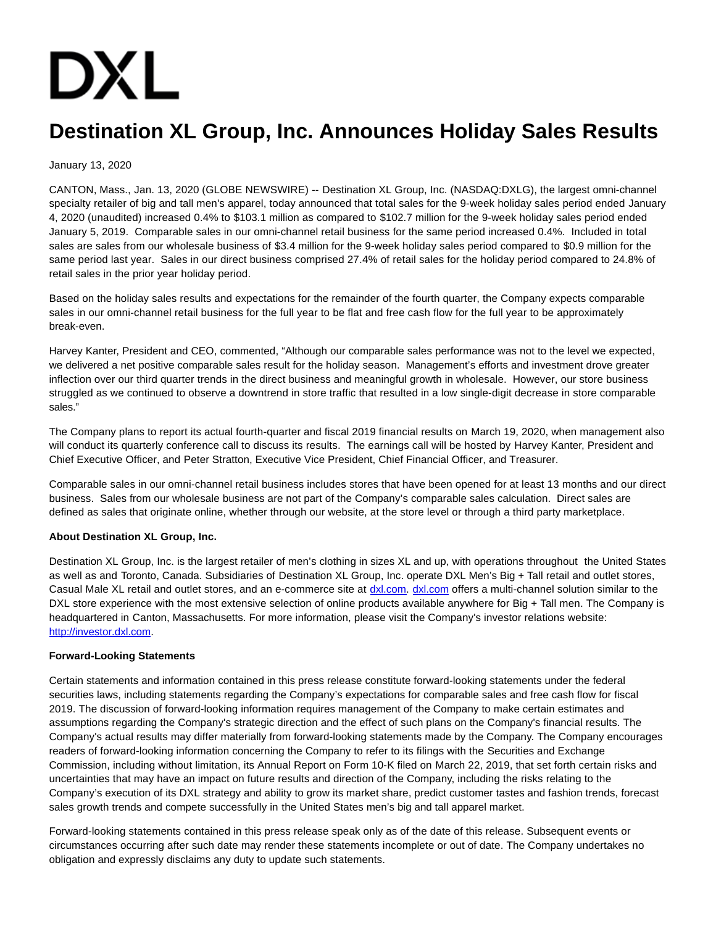# **DXL**

# **Destination XL Group, Inc. Announces Holiday Sales Results**

## January 13, 2020

CANTON, Mass., Jan. 13, 2020 (GLOBE NEWSWIRE) -- Destination XL Group, Inc. (NASDAQ:DXLG), the largest omni-channel specialty retailer of big and tall men's apparel, today announced that total sales for the 9-week holiday sales period ended January 4, 2020 (unaudited) increased 0.4% to \$103.1 million as compared to \$102.7 million for the 9-week holiday sales period ended January 5, 2019. Comparable sales in our omni-channel retail business for the same period increased 0.4%. Included in total sales are sales from our wholesale business of \$3.4 million for the 9-week holiday sales period compared to \$0.9 million for the same period last year. Sales in our direct business comprised 27.4% of retail sales for the holiday period compared to 24.8% of retail sales in the prior year holiday period.

Based on the holiday sales results and expectations for the remainder of the fourth quarter, the Company expects comparable sales in our omni-channel retail business for the full year to be flat and free cash flow for the full year to be approximately break-even.

Harvey Kanter, President and CEO, commented, "Although our comparable sales performance was not to the level we expected, we delivered a net positive comparable sales result for the holiday season. Management's efforts and investment drove greater inflection over our third quarter trends in the direct business and meaningful growth in wholesale. However, our store business struggled as we continued to observe a downtrend in store traffic that resulted in a low single-digit decrease in store comparable sales."

The Company plans to report its actual fourth-quarter and fiscal 2019 financial results on March 19, 2020, when management also will conduct its quarterly conference call to discuss its results. The earnings call will be hosted by Harvey Kanter, President and Chief Executive Officer, and Peter Stratton, Executive Vice President, Chief Financial Officer, and Treasurer.

Comparable sales in our omni-channel retail business includes stores that have been opened for at least 13 months and our direct business. Sales from our wholesale business are not part of the Company's comparable sales calculation. Direct sales are defined as sales that originate online, whether through our website, at the store level or through a third party marketplace.

### **About Destination XL Group, Inc.**

Destination XL Group, Inc. is the largest retailer of men's clothing in sizes XL and up, with operations throughout the United States as well as and Toronto, Canada. Subsidiaries of Destination XL Group, Inc. operate DXL Men's Big + Tall retail and outlet stores, Casual Male XL retail and outlet stores, and an e-commerce site at [dxl.com.](https://www.globenewswire.com/Tracker?data=tX13fhrr8_j0lbn2-ITFDq_qHV4qSteCGLfd0oNQslauSD0UxEkAw_0PL5bc2GFQGwHV82Oo-aXq2V5xuPQyZg==) [dxl.com o](https://www.globenewswire.com/Tracker?data=tX13fhrr8_j0lbn2-ITFDtu54zzUGZqKZ2G8FdpoYFh5W3irzVFpKgBWWWl0PVHux3KOJEgojIFvVu8qcC7iCA==)ffers a multi-channel solution similar to the DXL store experience with the most extensive selection of online products available anywhere for Big + Tall men. The Company is headquartered in Canton, Massachusetts. For more information, please visit the Company's investor relations website: [http://investor.dxl.com.](https://www.globenewswire.com/Tracker?data=QjsoYhygG4E9bMyaPlmRHWi4bF9p30NWZbHRj8Wu2NsNnOwE7nkowPCnCajGb1QEQUCrBCw_p7kw9-sPbebHfcWMi4VvaOxhqzkINmZn-Eg=)

### **Forward-Looking Statements**

Certain statements and information contained in this press release constitute forward-looking statements under the federal securities laws, including statements regarding the Company's expectations for comparable sales and free cash flow for fiscal 2019. The discussion of forward-looking information requires management of the Company to make certain estimates and assumptions regarding the Company's strategic direction and the effect of such plans on the Company's financial results. The Company's actual results may differ materially from forward-looking statements made by the Company. The Company encourages readers of forward-looking information concerning the Company to refer to its filings with the Securities and Exchange Commission, including without limitation, its Annual Report on Form 10-K filed on March 22, 2019, that set forth certain risks and uncertainties that may have an impact on future results and direction of the Company, including the risks relating to the Company's execution of its DXL strategy and ability to grow its market share, predict customer tastes and fashion trends, forecast sales growth trends and compete successfully in the United States men's big and tall apparel market.

Forward-looking statements contained in this press release speak only as of the date of this release. Subsequent events or circumstances occurring after such date may render these statements incomplete or out of date. The Company undertakes no obligation and expressly disclaims any duty to update such statements.